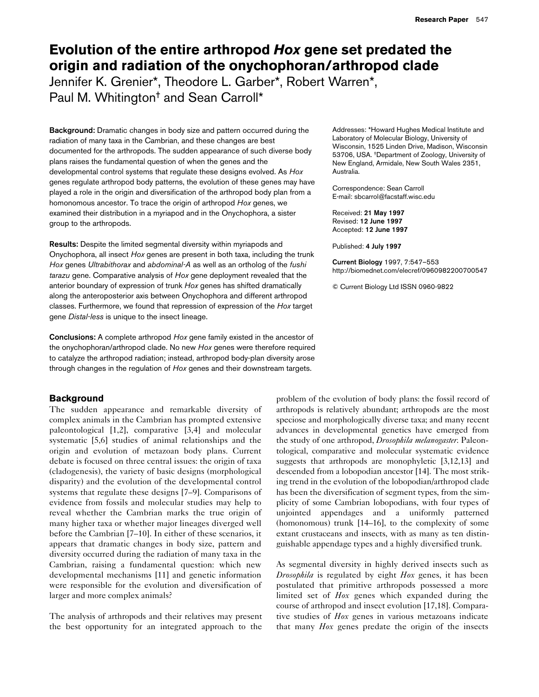# **Evolution of the entire arthropod** *Hox* **gene set predated the origin and radiation of the onychophoran/arthropod clade**

Jennifer K. Grenier\*, Theodore L. Garber\*, Robert Warren\*, Paul M. Whitington<sup>†</sup> and Sean Carroll\*

**Background:** Dramatic changes in body size and pattern occurred during the radiation of many taxa in the Cambrian, and these changes are best documented for the arthropods. The sudden appearance of such diverse body plans raises the fundamental question of when the genes and the developmental control systems that regulate these designs evolved. As *Hox* genes regulate arthropod body patterns, the evolution of these genes may have played a role in the origin and diversification of the arthropod body plan from a homonomous ancestor. To trace the origin of arthropod *Hox* genes, we examined their distribution in a myriapod and in the Onychophora, a sister group to the arthropods.

**Results:** Despite the limited segmental diversity within myriapods and Onychophora, all insect *Hox* genes are present in both taxa, including the trunk *Hox* genes *Ultrabithorax* and *abdominal-A* as well as an ortholog of the *fushi tarazu* gene. Comparative analysis of *Hox* gene deployment revealed that the anterior boundary of expression of trunk *Hox* genes has shifted dramatically along the anteroposterior axis between Onychophora and different arthropod classes. Furthermore, we found that repression of expression of the *Hox* target gene *Distal-less* is unique to the insect lineage.

**Conclusions:** A complete arthropod *Hox* gene family existed in the ancestor of the onychophoran/arthropod clade. No new *Hox* genes were therefore required to catalyze the arthropod radiation; instead, arthropod body-plan diversity arose through changes in the regulation of *Hox* genes and their downstream targets.

# **Background**

The sudden appearance and remarkable diversity of complex animals in the Cambrian has prompted extensive paleontological [1,2], comparative [3,4] and molecular systematic [5,6] studies of animal relationships and the origin and evolution of metazoan body plans. Current debate is focused on three central issues: the origin of taxa (cladogenesis), the variety of basic designs (morphological disparity) and the evolution of the developmental control systems that regulate these designs [7–9]. Comparisons of evidence from fossils and molecular studies may help to reveal whether the Cambrian marks the true origin of many higher taxa or whether major lineages diverged well before the Cambrian [7–10]. In either of these scenarios, it appears that dramatic changes in body size, pattern and diversity occurred during the radiation of many taxa in the Cambrian, raising a fundamental question: which new developmental mechanisms [11] and genetic information were responsible for the evolution and diversification of larger and more complex animals?

The analysis of arthropods and their relatives may present the best opportunity for an integrated approach to the Addresses: \*Howard Hughes Medical Institute and Laboratory of Molecular Biology, University of Wisconsin, 1525 Linden Drive, Madison, Wisconsin 53706, USA. †Department of Zoology, University of New England, Armidale, New South Wales 2351, Australia.

Correspondence: Sean Carroll E-mail: sbcarrol@facstaff.wisc.edu

Received: **21 May 1997** Revised: **12 June 1997** Accepted: **12 June 1997**

Published: **4 July 1997**

**Current Biology** 1997, 7:547–553 http://biomednet.com/elecref/0960982200700547

© Current Biology Ltd ISSN 0960-9822

problem of the evolution of body plans: the fossil record of arthropods is relatively abundant; arthropods are the most speciose and morphologically diverse taxa; and many recent advances in developmental genetics have emerged from the study of one arthropod, *Drosophila melanogaster*. Paleontological, comparative and molecular systematic evidence suggests that arthropods are monophyletic [3,12,13] and descended from a lobopodian ancestor [14]. The most striking trend in the evolution of the lobopodian/arthropod clade has been the diversification of segment types, from the simplicity of some Cambrian lobopodians, with four types of unjointed appendages and a uniformly patterned (homonomous) trunk [14–16], to the complexity of some extant crustaceans and insects, with as many as ten distinguishable appendage types and a highly diversified trunk.

As segmental diversity in highly derived insects such as *Drosophila* is regulated by eight *Hox* genes, it has been postulated that primitive arthropods possessed a more limited set of *Hox* genes which expanded during the course of arthropod and insect evolution [17,18]. Comparative studies of *Hox* genes in various metazoans indicate that many *Hox* genes predate the origin of the insects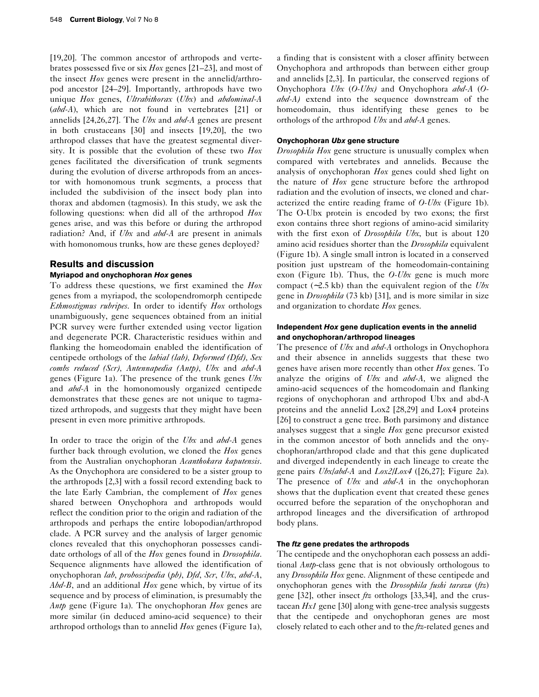[19,20]. The common ancestor of arthropods and vertebrates possessed five or six *Hox* genes [21–23], and most of the insect *Hox* genes were present in the annelid/arthropod ancestor [24–29]. Importantly, arthropods have two unique *Hox* genes, *Ultrabithorax* (*Ubx*) and *abdominal-A* (*abd-A*), which are not found in vertebrates [21] or annelids [24,26,27]. The *Ubx* and *abd-A* genes are present in both crustaceans [30] and insects [19,20], the two arthropod classes that have the greatest segmental diversity. It is possible that the evolution of these two *Hox* genes facilitated the diversification of trunk segments during the evolution of diverse arthropods from an ancestor with homonomous trunk segments, a process that included the subdivision of the insect body plan into thorax and abdomen (tagmosis). In this study, we ask the following questions: when did all of the arthropod *Hox* genes arise, and was this before or during the arthropod radiation? And, if *Ubx* and *abd-A* are present in animals with homonomous trunks, how are these genes deployed?

# **Results and discussion Myriapod and onychophoran** *Hox* **genes**

# To address these questions, we first examined the *Hox* genes from a myriapod, the scolopendromorph centipede *Ethmostigmus rubripes*. In order to identify *Hox* orthologs unambiguously, gene sequences obtained from an initial PCR survey were further extended using vector ligation and degenerate PCR. Characteristic residues within and flanking the homeodomain enabled the identification of centipede orthologs of the *labial (lab), Deformed (Dfd), Sex combs reduced (Scr), Antennapedia (Antp)*, *Ubx* and *abd-A* genes (Figure 1a). The presence of the trunk genes *Ubx* and *abd-A* in the homonomously organized centipede demonstrates that these genes are not unique to tagmatized arthropods, and suggests that they might have been

present in even more primitive arthropods.

In order to trace the origin of the *Ubx* and *abd-A* genes further back through evolution, we cloned the *Hox* genes from the Australian onychophoran *Acanthokara kaputensis*. As the Onychophora are considered to be a sister group to the arthropods [2,3] with a fossil record extending back to the late Early Cambrian, the complement of *Hox* genes shared between Onychophora and arthropods would reflect the condition prior to the origin and radiation of the arthropods and perhaps the entire lobopodian/arthropod clade. A PCR survey and the analysis of larger genomic clones revealed that this onychophoran possesses candidate orthologs of all of the *Hox* genes found in *Drosophila*. Sequence alignments have allowed the identification of onychophoran *lab*, *proboscipedia* (*pb)*, *Dfd*, *Scr*, *Ubx*, *abd-A*, *Abd-B*, and an additional *Hox* gene which, by virtue of its sequence and by process of elimination, is presumably the *Antp* gene (Figure 1a). The onychophoran *Hox* genes are more similar (in deduced amino-acid sequence) to their arthropod orthologs than to annelid *Hox* genes (Figure 1a),

a finding that is consistent with a closer affinity between Onychophora and arthropods than between either group and annelids [2,3]. In particular, the conserved regions of Onychophora *Ubx* (*O-Ubx)* and Onychophora *abd-A* (*Oabd-A)* extend into the sequence downstream of the homeodomain, thus identifying these genes to be orthologs of the arthropod *Ubx* and *abd-A* genes.

### **Onychophoran** *Ubx* **gene structure**

*Drosophila Hox* gene structure is unusually complex when compared with vertebrates and annelids. Because the analysis of onychophoran *Hox* genes could shed light on the nature of *Hox* gene structure before the arthropod radiation and the evolution of insects, we cloned and characterized the entire reading frame of *O-Ubx* (Figure 1b). The O-Ubx protein is encoded by two exons; the first exon contains three short regions of amino-acid similarity with the first exon of *Drosophila Ubx*, but is about 120 amino acid residues shorter than the *Drosophila* equivalent (Figure 1b). A single small intron is located in a conserved position just upstream of the homeodomain-containing exon (Figure 1b). Thus, the *O-Ubx* gene is much more compact (∼2.5 kb) than the equivalent region of the *Ubx* gene in *Drosophila* (73 kb) [31], and is more similar in size and organization to chordate *Hox* genes.

### **Independent** *Hox* **gene duplication events in the annelid and onychophoran/arthropod lineages**

The presence of *Ubx* and *abd-A* orthologs in Onychophora and their absence in annelids suggests that these two genes have arisen more recently than other *Hox* genes. To analyze the origins of *Ubx* and *abd-A,* we aligned the amino-acid sequences of the homeodomain and flanking regions of onychophoran and arthropod Ubx and abd-A proteins and the annelid Lox2 [28,29] and Lox4 proteins [26] to construct a gene tree. Both parsimony and distance analyses suggest that a single *Hox* gene precursor existed in the common ancestor of both annelids and the onychophoran/arthropod clade and that this gene duplicated and diverged independently in each lineage to create the gene pairs *Ubx/abd-A* and *Lox2/Lox4* ([26,27]; Figure 2a). The presence of *Ubx* and *abd-A* in the onychophoran shows that the duplication event that created these genes occurred before the separation of the onychophoran and arthropod lineages and the diversification of arthropod body plans.

### **The** *ftz* **gene predates the arthropods**

The centipede and the onychophoran each possess an additional *Antp*-class gene that is not obviously orthologous to any *Drosophila Hox* gene. Alignment of these centipede and onychophoran genes with the *Drosophila fushi tarazu* (*ftz*) gene [32], other insect *ftz* orthologs [33,34], and the crustacean *Hx1* gene [30] along with gene-tree analysis suggests that the centipede and onychophoran genes are most closely related to each other and to the *ftz*-related genes and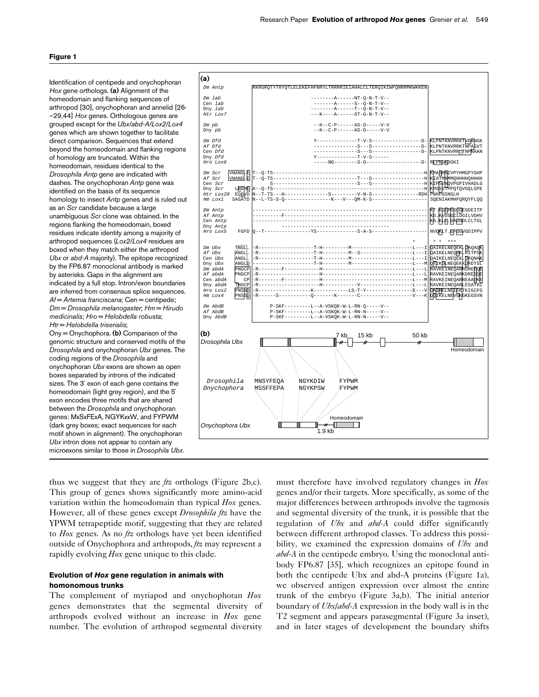### **Figure 1**

Identification of centipede and onychophoran *Hox* gene orthologs. **(a)** Alignment of the homeodomain and flanking sequences of arthropod [30], onychophoran and annelid [26- –29,44] *Hox* genes. Orthologous genes are grouped except for the *Ubx/abd-A/Lox2/Lox4* genes which are shown together to facilitate direct comparison. Sequences that extend beyond the homeodomain and flanking regions of homology are truncated. Within the homeodomain, residues identical to the *Drosophila Antp* gene are indicated with dashes. The onychophoran *Antp* gene was identified on the basis of its sequence homology to insect *Antp* genes and is ruled out as an *Scr* candidate because a large unambiguous *Scr* clone was obtained. In the regions flanking the homeodomain, boxed residues indicate identity among a majority of arthropod sequences (*Lox2/Lox4* residues are boxed when they match either the arthropod *Ubx* or *abd-A* majority). The epitope recognized by the FP6.87 monoclonal antibody is marked by asterisks. Gaps in the alignment are indicated by a full stop. Intron/exon boundaries are inferred from consensus splice sequences. *Af* = *Artemia franciscana*; Cen = centipede; *Dm* = *Drosophila melanogaster*; *Hm* = *Hirudo medicinalis*; *Hro* = *Helobdella robusta*; *Htr* = *Helobdella triserialis*; Ony = Onychophora. **(b)** Comparison of the genomic structure and conserved motifs of the *Drosophila* and onychophoran *Ubx* genes. The coding regions of the *Drosophila* and onychophoran *Ubx* exons are shown as open boxes separated by introns of the indicated sizes. The 3′ exon of each gene contains the homeodomain (light grey region), and the 5' exon encodes three motifs that are shared between the *Drosophila* and onychophoran genes: MxSxFExA, NGYKxxW, and FYPWM (dark grey boxes; exact sequences for each motif shown in alignment). The onychophoran *Ubx* intron does not appear to contain any microexons similar to those in *Drosophila Ubx.*



thus we suggest that they are *ftz* orthologs (Figure 2b,c). This group of genes shows significantly more amino-acid variation within the homeodomain than typical *Hox* genes. However, all of these genes except *Drosophila ftz* have the YPWM tetrapeptide motif, suggesting that they are related to *Hox* genes. As no *ftz* orthologs have yet been identified outside of Onychophora and arthropods, *ftz* may represent a rapidly evolving *Hox* gene unique to this clade.

### **Evolution of** *Hox* **gene regulation in animals with homonomous trunks**

The complement of myriapod and onychophoran *Hox* genes demonstrates that the segmental diversity of arthropods evolved without an increase in *Hox* gene number. The evolution of arthropod segmental diversity

must therefore have involved regulatory changes in *Hox* genes and/or their targets. More specifically, as some of the major differences between arthropods involve the tagmosis and segmental diversity of the trunk, it is possible that the regulation of *Ubx* and *abd-A* could differ significantly between different arthropod classes. To address this possibility, we examined the expression domains of *Ubx* and *abd-A* in the centipede embryo. Using the monoclonal antibody FP6.87 [35], which recognizes an epitope found in both the centipede Ubx and abd-A proteins (Figure 1a), we observed antigen expression over almost the entire trunk of the embryo (Figure 3a,b). The initial anterior boundary of *Ubx/abd-A* expression in the body wall is in the T2 segment and appears parasegmental (Figure 3a inset), and in later stages of development the boundary shifts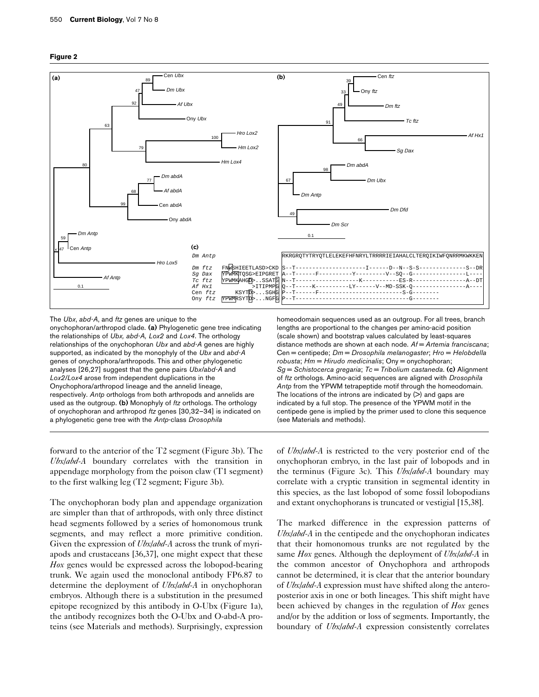



The *Ubx*, *abd-A*, and *ftz* genes are unique to the onychophoran/arthropod clade. **(a)** Phylogenetic gene tree indicating the relationships of *Ubx, abd-A, Lox2* and *Lox4*. The orthology relationships of the onychophoran *Ubx* and *abd-A* genes are highly supported, as indicated by the monophyly of the *Ubx* and *abd-A* genes of onychophora/arthropods. This and other phylogenetic analyses [26,27] suggest that the gene pairs *Ubx/abd-A* and *Lox2/Lox4* arose from independent duplications in the Onychophora/arthropod lineage and the annelid lineage, respectively. *Antp* orthologs from both arthropods and annelids are used as the outgroup. **(b)** Monophyly of *ftz* orthologs. The orthology of onychophoran and arthropod *ftz* genes [30,32–34] is indicated on a phylogenetic gene tree with the *Antp*-class *Drosophila*

forward to the anterior of the T2 segment (Figure 3b). The *Ubx/abd-A* boundary correlates with the transition in appendage morphology from the poison claw (T1 segment) to the first walking leg (T2 segment; Figure 3b).

The onychophoran body plan and appendage organization are simpler than that of arthropods, with only three distinct head segments followed by a series of homonomous trunk segments, and may reflect a more primitive condition. Given the expression of *Ubx/abd-A* across the trunk of myriapods and crustaceans [36,37], one might expect that these *Hox* genes would be expressed across the lobopod-bearing trunk. We again used the monoclonal antibody FP6.87 to determine the deployment of *Ubx/abd-A* in onychophoran embryos. Although there is a substitution in the presumed epitope recognized by this antibody in O-Ubx (Figure 1a), the antibody recognizes both the O-Ubx and O-abd-A proteins (see Materials and methods). Surprisingly, expression

homeodomain sequences used as an outgroup. For all trees, branch lengths are proportional to the changes per amino-acid position (scale shown) and bootstrap values calculated by least-squares distance methods are shown at each node. *Af* = *Artemia franciscana*; Cen = centipede; *Dm* = *Drosophila melanogaster*; *Hro* = *Helobdella robusta*; *Hm* = *Hirudo medicinalis*; Ony = onychophoran; *Sg* = *Schistocerca gregaria*; *Tc* = *Tribolium castaneda*. **(c)** Alignment of *ftz* orthologs. Amino-acid sequences are aligned with *Drosophila Antp* from the YPWM tetrapeptide motif through the homeodomain. The locations of the introns are indicated by  $(>)$  and gaps are indicated by a full stop. The presence of the YPWM motif in the centipede gene is implied by the primer used to clone this sequence (see Materials and methods).

of *Ubx/abd-A* is restricted to the very posterior end of the onychophoran embryo, in the last pair of lobopods and in the terminus (Figure 3c). This *Ubx/abd-A* boundary may correlate with a cryptic transition in segmental identity in this species, as the last lobopod of some fossil lobopodians and extant onychophorans is truncated or vestigial [15,38].

The marked difference in the expression patterns of *Ubx/abd-A* in the centipede and the onychophoran indicates that their homonomous trunks are not regulated by the same *Hox* genes. Although the deployment of *Ubx/abd-A* in the common ancestor of Onychophora and arthropods cannot be determined, it is clear that the anterior boundary of *Ubx/abd-A* expression must have shifted along the anteroposterior axis in one or both lineages. This shift might have been achieved by changes in the regulation of *Hox* genes and/or by the addition or loss of segments. Importantly, the boundary of *Ubx/abd-A* expression consistently correlates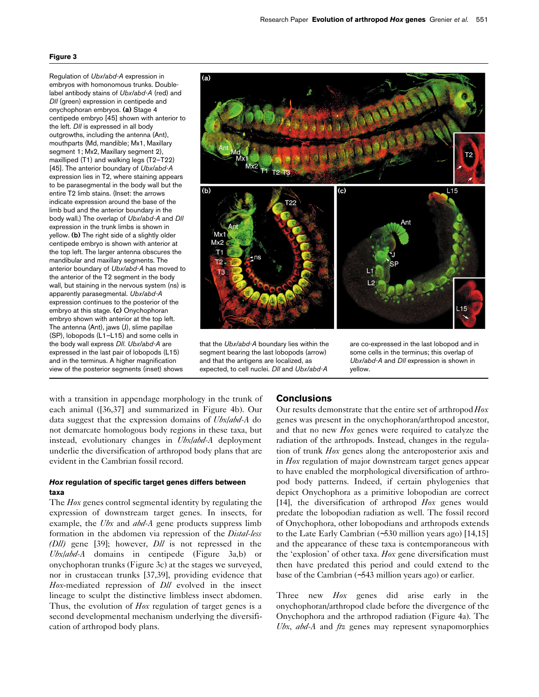### **Figure 3**

Regulation of *Ubx/abd-A* expression in embryos with homonomous trunks. Doublelabel antibody stains of *Ubx/abd-A* (red) and *Dll* (green) expression in centipede and onychophoran embryos. **(a)** Stage 4 centipede embryo [45] shown with anterior to the left. *Dll* is expressed in all body outgrowths, including the antenna (Ant), mouthparts (Md, mandible; Mx1, Maxillary segment 1; Mx2, Maxillary segment 2), maxilliped (T1) and walking legs (T2–T22) [45]. The anterior boundary of *Ubx/abd-A* expression lies in T2, where staining appears to be parasegmental in the body wall but the entire T2 limb stains. (Inset: the arrows indicate expression around the base of the limb bud and the anterior boundary in the body wall.) The overlap of *Ubx/abd-A* and *Dll* expression in the trunk limbs is shown in yellow. **(b)** The right side of a slightly older centipede embryo is shown with anterior at the top left. The larger antenna obscures the mandibular and maxillary segments. The anterior boundary of *Ubx/abd-A* has moved to the anterior of the T2 segment in the body wall, but staining in the nervous system (ns) is apparently parasegmental. *Ubx/abd-A* expression continues to the posterior of the embryo at this stage. **(c)** Onychophoran embryo shown with anterior at the top left. The antenna (Ant), jaws (J), slime papillae (SP), lobopods (L1–L15) and some cells in the body wall express *Dll*. *Ubx/abd-A* are expressed in the last pair of lobopods (L15) and in the terminus. A higher magnification view of the posterior segments (inset) shows



that the *Ubx/abd-A* boundary lies within the segment bearing the last lobopods (arrow) and that the antigens are localized, as expected, to cell nuclei. *Dll* and *Ubx/abd-A*

are co-expressed in the last lobopod and in some cells in the terminus; this overlap of *Ubx/abd-A* and *Dll* expression is shown in yellow.

with a transition in appendage morphology in the trunk of each animal ([36,37] and summarized in Figure 4b). Our data suggest that the expression domains of *Ubx/abd-A* do not demarcate homologous body regions in these taxa, but instead, evolutionary changes in *Ubx/abd-A* deployment underlie the diversification of arthropod body plans that are evident in the Cambrian fossil record.

# *Hox* **regulation of specific target genes differs between taxa**

The *Hox* genes control segmental identity by regulating the expression of downstream target genes. In insects, for example, the *Ubx* and *abd-A* gene products suppress limb formation in the abdomen via repression of the *Distal-less (Dll)* gene [39]; however, *Dll* is not repressed in the *Ubx/abd-A* domains in centipede (Figure 3a,b) or onychophoran trunks (Figure 3c) at the stages we surveyed, nor in crustacean trunks [37,39], providing evidence that *Hox*-mediated repression of *Dll* evolved in the insect lineage to sculpt the distinctive limbless insect abdomen. Thus, the evolution of *Hox* regulation of target genes is a second developmental mechanism underlying the diversification of arthropod body plans.

# **Conclusions**

Our results demonstrate that the entire set of arthropod *Hox* genes was present in the onychophoran/arthropod ancestor, and that no new *Hox* genes were required to catalyze the radiation of the arthropods. Instead, changes in the regulation of trunk *Hox* genes along the anteroposterior axis and in *Hox* regulation of major downstream target genes appear to have enabled the morphological diversification of arthropod body patterns. Indeed, if certain phylogenies that depict Onychophora as a primitive lobopodian are correct [14], the diversification of arthropod *Hox* genes would predate the lobopodian radiation as well. The fossil record of Onychophora, other lobopodians and arthropods extends to the Late Early Cambrian (∼530 million years ago) [14,15] and the appearance of these taxa is contemporaneous with the 'explosion' of other taxa. *Hox* gene diversification must then have predated this period and could extend to the base of the Cambrian (∼543 million years ago) or earlier.

Three new *Hox* genes did arise early in the onychophoran/arthropod clade before the divergence of the Onychophora and the arthropod radiation (Figure 4a). The *Ubx*, *abd-A* and *ftz* genes may represent synapomorphies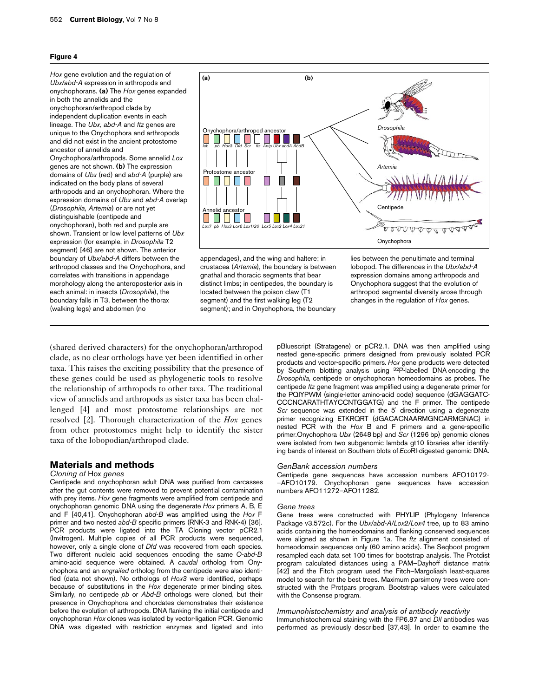#### **Figure 4**

*Hox* gene evolution and the regulation of *Ubx/abd-A* expression in arthropods and onychophorans. **(a)** The *Hox* genes expanded in both the annelids and the onychophoran/arthropod clade by independent duplication events in each lineage. The *Ubx, abd-A* and *ftz* genes are unique to the Onychophora and arthropods and did not exist in the ancient protostome ancestor of annelids and Onychophora/arthropods. Some annelid *Lox* genes are not shown. **(b)** The expression domains of *Ubx* (red) and *abd-A* (purple) are indicated on the body plans of several arthropods and an onychophoran. Where the expression domains of *Ubx* and *abd-A* overlap (*Drosophila, Artemia*) or are not yet distinguishable (centipede and onychophoran), both red and purple are shown. Transient or low level patterns of *Ubx* expression (for example, in *Drosophila* T2 segment) [46] are not shown. The anterior boundary of *Ubx/abd-A* differs between the arthropod classes and the Onychophora, and correlates with transitions in appendage morphology along the anteroposterior axis in each animal: in insects (*Drosophila*), the boundary falls in T3, between the thorax (walking legs) and abdomen (no



appendages), and the wing and haltere; in crustacea (*Artemia*), the boundary is between gnathal and thoracic segments that bear distinct limbs; in centipedes, the boundary is located between the poison claw (T1 segment) and the first walking leg (T2 segment); and in Onychophora, the boundary

lies between the penultimate and terminal lobopod. The differences in the *Ubx/abd-A* expression domains among arthropods and Onychophora suggest that the evolution of arthropod segmental diversity arose through changes in the regulation of *Hox* genes.

(shared derived characters) for the onychophoran/arthropod clade, as no clear orthologs have yet been identified in other taxa. This raises the exciting possibility that the presence of these genes could be used as phylogenetic tools to resolve the relationship of arthropods to other taxa. The traditional view of annelids and arthropods as sister taxa has been challenged [4] and most protostome relationships are not resolved [2]. Thorough characterization of the *Hox* genes from other protostomes might help to identify the sister taxa of the lobopodian/arthropod clade.

### **Materials and methods**

#### *Cloning of* Hox *genes*

Centipede and onychophoran adult DNA was purified from carcasses after the gut contents were removed to prevent potential contamination with prey items. *Hox* gene fragments were amplified from centipede and onychophoran genomic DNA using the degenerate *Hox* primers A, B, E and F [40,41]. Onychophoran *abd-B* was amplified using the *Hox* F primer and two nested *abd-B* specific primers (RNK-3 and RNK-4) [36]. PCR products were ligated into the TA Cloning vector pCR2.1 (Invitrogen). Multiple copies of all PCR products were sequenced, however, only a single clone of *Dfd* was recovered from each species. Two different nucleic acid sequences encoding the same *O-abd-B* amino-acid sequence were obtained. A *caudal* ortholog from Onychophora and an *engrailed* ortholog from the centipede were also identified (data not shown). No orthologs of *Hox3* were identified, perhaps because of substitutions in the *Hox* degenerate primer binding sites. Similarly, no centipede *pb* or *Abd-B* orthologs were cloned, but their presence in Onychophora and chordates demonstrates their existence before the evolution of arthropods. DNA flanking the initial centipede and onychophoran *Hox* clones was isolated by vector-ligation PCR. Genomic DNA was digested with restriction enzymes and ligated and into pBluescript (Stratagene) or pCR2.1. DNA was then amplified using nested gene-specific primers designed from previously isolated PCR products and vector-specific primers. *Hox* gene products were detected by Southern blotting analysis using <sup>32</sup>P-labelled DNA encoding the *Drosophila*, centipede or onychophoran homeodomains as probes. The centipede *ftz* gene fragment was amplified using a degenerate primer for the PQIYPWM (single-letter amino-acid code) sequence (dGAGGATC-CCCNCARATHTAYCCNTGGATG) and the F primer. The centipede *Scr* sequence was extended in the 5′ direction using a degenerate primer recognizing ETKRQRT (dGACACNAARMGNCARMGNAC) in nested PCR with the *Hox* B and F primers and a gene-specific primer.Onychophora *Ubx* (2648 bp) and *Scr* (1296 bp) genomic clones were isolated from two subgenomic lambda gt10 libraries after identifying bands of interest on Southern blots of *Eco*RI-digested genomic DNA.

#### *GenBank accession numbers*

Centipede gene sequences have accession numbers AFO10172- –AFO10179. Onychophoran gene sequences have accession numbers AFO11272–AFO11282.

### *Gene trees*

Gene trees were constructed with PHYLIP (Phylogeny Inference Package v3.572c). For the *Ubx/abd-A/Lox2/Lox4* tree, up to 83 amino acids containing the homeodomains and flanking conserved sequences were aligned as shown in Figure 1a. The *ftz* alignment consisted of homeodomain sequences only (60 amino acids). The Seqboot program resampled each data set 100 times for bootstrap analysis. The Protdist program calculated distances using a PAM–Dayhoff distance matrix [42] and the Fitch program used the Fitch–Margoliash least-squares model to search for the best trees. Maximum parsimony trees were constructed with the Protpars program. Bootstrap values were calculated with the Consense program.

*Immunohistochemistry and analysis of antibody reactivity* Immunohistochemical staining with the FP6.87 and *Dll* antibodies was performed as previously described [37,43]. In order to examine the